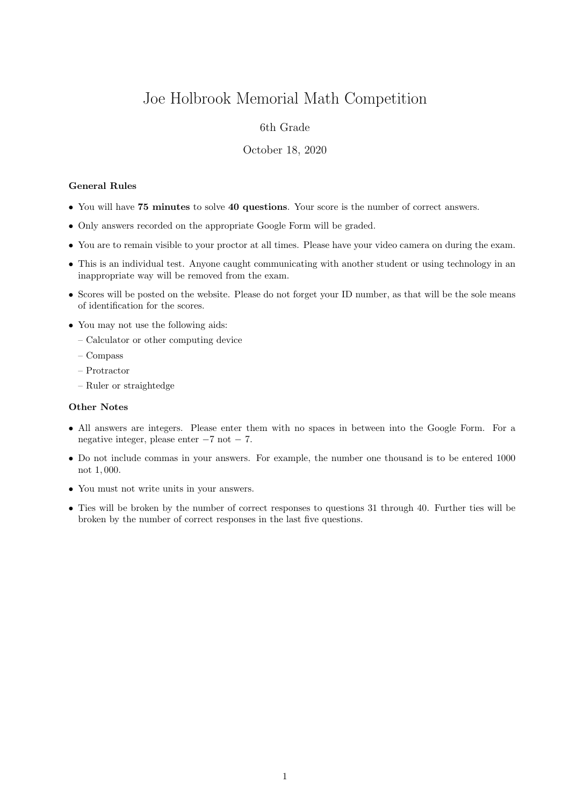# Joe Holbrook Memorial Math Competition

## 6th Grade

### October 18, 2020

## General Rules

- You will have 75 minutes to solve 40 questions. Your score is the number of correct answers.
- Only answers recorded on the appropriate Google Form will be graded.
- You are to remain visible to your proctor at all times. Please have your video camera on during the exam.
- This is an individual test. Anyone caught communicating with another student or using technology in an inappropriate way will be removed from the exam.
- Scores will be posted on the website. Please do not forget your ID number, as that will be the sole means of identification for the scores.
- You may not use the following aids:
	- Calculator or other computing device
	- Compass
	- Protractor
	- Ruler or straightedge

#### Other Notes

- All answers are integers. Please enter them with no spaces in between into the Google Form. For a negative integer, please enter −7 not − 7.
- Do not include commas in your answers. For example, the number one thousand is to be entered 1000 not 1, 000.
- You must not write units in your answers.
- Ties will be broken by the number of correct responses to questions 31 through 40. Further ties will be broken by the number of correct responses in the last five questions.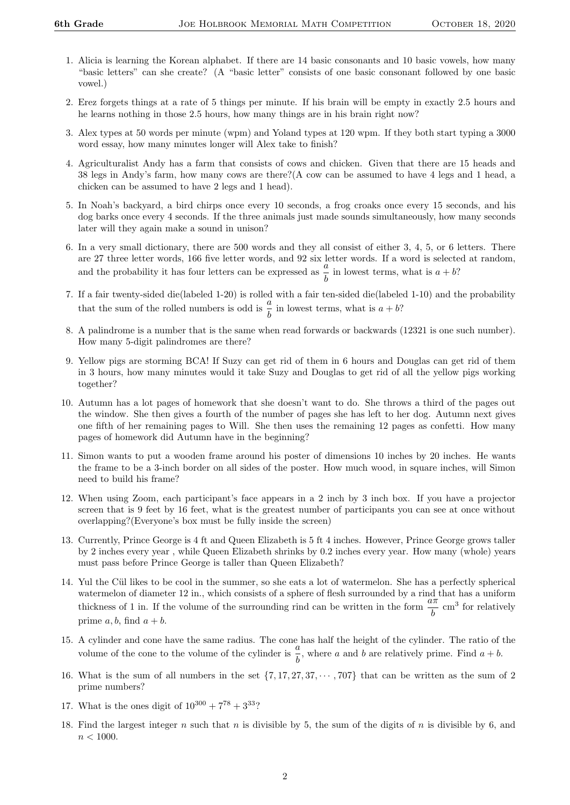- 1. Alicia is learning the Korean alphabet. If there are 14 basic consonants and 10 basic vowels, how many "basic letters" can she create? (A "basic letter" consists of one basic consonant followed by one basic vowel.)
- 2. Erez forgets things at a rate of 5 things per minute. If his brain will be empty in exactly 2.5 hours and he learns nothing in those 2.5 hours, how many things are in his brain right now?
- 3. Alex types at 50 words per minute (wpm) and Yoland types at 120 wpm. If they both start typing a 3000 word essay, how many minutes longer will Alex take to finish?
- 4. Agriculturalist Andy has a farm that consists of cows and chicken. Given that there are 15 heads and 38 legs in Andy's farm, how many cows are there?(A cow can be assumed to have 4 legs and 1 head, a chicken can be assumed to have 2 legs and 1 head).
- 5. In Noah's backyard, a bird chirps once every 10 seconds, a frog croaks once every 15 seconds, and his dog barks once every 4 seconds. If the three animals just made sounds simultaneously, how many seconds later will they again make a sound in unison?
- 6. In a very small dictionary, there are 500 words and they all consist of either 3, 4, 5, or 6 letters. There are 27 three letter words, 166 five letter words, and 92 six letter words. If a word is selected at random, and the probability it has four letters can be expressed as  $\frac{a}{b}$  in lowest terms, what is  $a + b$ ?
- 7. If a fair twenty-sided die(labeled 1-20) is rolled with a fair ten-sided die(labeled 1-10) and the probability that the sum of the rolled numbers is odd is  $\frac{a}{b}$  in lowest terms, what is  $a + b$ ?
- 8. A palindrome is a number that is the same when read forwards or backwards (12321 is one such number). How many 5-digit palindromes are there?
- 9. Yellow pigs are storming BCA! If Suzy can get rid of them in 6 hours and Douglas can get rid of them in 3 hours, how many minutes would it take Suzy and Douglas to get rid of all the yellow pigs working together?
- 10. Autumn has a lot pages of homework that she doesn't want to do. She throws a third of the pages out the window. She then gives a fourth of the number of pages she has left to her dog. Autumn next gives one fifth of her remaining pages to Will. She then uses the remaining 12 pages as confetti. How many pages of homework did Autumn have in the beginning?
- 11. Simon wants to put a wooden frame around his poster of dimensions 10 inches by 20 inches. He wants the frame to be a 3-inch border on all sides of the poster. How much wood, in square inches, will Simon need to build his frame?
- 12. When using Zoom, each participant's face appears in a 2 inch by 3 inch box. If you have a projector screen that is 9 feet by 16 feet, what is the greatest number of participants you can see at once without overlapping?(Everyone's box must be fully inside the screen)
- 13. Currently, Prince George is 4 ft and Queen Elizabeth is 5 ft 4 inches. However, Prince George grows taller by 2 inches every year , while Queen Elizabeth shrinks by 0.2 inches every year. How many (whole) years must pass before Prince George is taller than Queen Elizabeth?
- 14. Yul the Cül likes to be cool in the summer, so she eats a lot of watermelon. She has a perfectly spherical watermelon of diameter 12 in., which consists of a sphere of flesh surrounded by a rind that has a uniform thickness of 1 in. If the volume of the surrounding rind can be written in the form  $\frac{a\pi}{b}$  cm<sup>3</sup> for relatively prime  $a, b$ , find  $a + b$ .
- 15. A cylinder and cone have the same radius. The cone has half the height of the cylinder. The ratio of the volume of the cone to the volume of the cylinder is  $\frac{a}{b}$ , where a and b are relatively prime. Find  $a + b$ .
- 16. What is the sum of all numbers in the set  $\{7, 17, 27, 37, \cdots, 707\}$  that can be written as the sum of 2 prime numbers?
- 17. What is the ones digit of  $10^{300} + 7^{78} + 3^{33}$ ?
- 18. Find the largest integer n such that n is divisible by 5, the sum of the digits of n is divisible by 6, and  $n < 1000$ .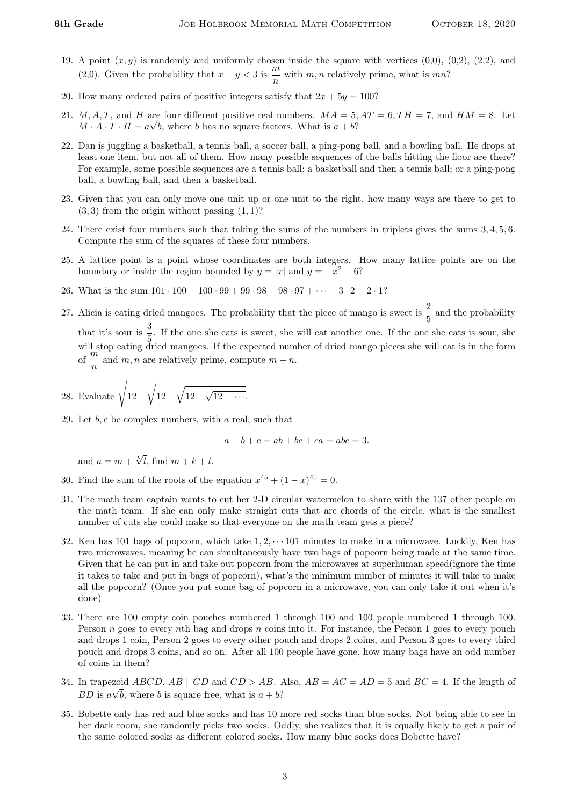- 19. A point  $(x, y)$  is randomly and uniformly chosen inside the square with vertices  $(0,0)$ ,  $(0,2)$ ,  $(2,2)$ , and (2,0). Given the probability that  $x + y < 3$  is  $\frac{m}{2}$  $\frac{m}{n}$  with m, n relatively prime, what is mn?
- 20. How many ordered pairs of positive integers satisfy that  $2x + 5y = 100$ ?
- 21. M, A, T, and H are four different positive real numbers.  $MA = 5$ ,  $AT = 6$ ,  $TH = 7$ , and  $HM = 8$ . Let  $M \cdot A \cdot T \cdot H = a \sqrt{b}$ , where b has no square factors. What is  $a + b$ ?
- 22. Dan is juggling a basketball, a tennis ball, a soccer ball, a ping-pong ball, and a bowling ball. He drops at least one item, but not all of them. How many possible sequences of the balls hitting the floor are there? For example, some possible sequences are a tennis ball; a basketball and then a tennis ball; or a ping-pong ball, a bowling ball, and then a basketball.
- 23. Given that you can only move one unit up or one unit to the right, how many ways are there to get to  $(3, 3)$  from the origin without passing  $(1, 1)$ ?
- 24. There exist four numbers such that taking the sums of the numbers in triplets gives the sums 3, 4, 5, 6. Compute the sum of the squares of these four numbers.
- 25. A lattice point is a point whose coordinates are both integers. How many lattice points are on the boundary or inside the region bounded by  $y = |x|$  and  $y = -x^2 + 6$ ?
- 26. What is the sum  $101 \cdot 100 100 \cdot 99 + 99 \cdot 98 98 \cdot 97 + \cdots + 3 \cdot 2 2 \cdot 1?$
- 27. Alicia is eating dried mangoes. The probability that the piece of mango is sweet is  $\frac{2}{5}$  and the probability that it's sour is  $\frac{3}{5}$ . If the one she eats is sweet, she will eat another one. If the one she eats is sour, she will stop eating dried mangoes. If the expected number of dried mango pieces she will eat is in the form of  $\frac{m}{n}$  and  $m, n$  are relatively prime, compute  $m + n$ .

28. Evaluate 
$$
\sqrt{12 - \sqrt{12 - \sqrt{12 - \cdots}}}
$$
.

29. Let  $b, c$  be complex numbers, with a real, such that

$$
a+b+c = ab+bc+ca = abc = 3.
$$

and  $a = m + \sqrt[k]{l}$ , find  $m + k + l$ .

- 30. Find the sum of the roots of the equation  $x^{45} + (1 x)^{45} = 0$ .
- 31. The math team captain wants to cut her 2-D circular watermelon to share with the 137 other people on the math team. If she can only make straight cuts that are chords of the circle, what is the smallest number of cuts she could make so that everyone on the math team gets a piece?
- 32. Ken has 101 bags of popcorn, which take  $1, 2, \dots$  101 minutes to make in a microwave. Luckily, Ken has two microwaves, meaning he can simultaneously have two bags of popcorn being made at the same time. Given that he can put in and take out popcorn from the microwaves at superhuman speed(ignore the time it takes to take and put in bags of popcorn), what's the minimum number of minutes it will take to make all the popcorn? (Once you put some bag of popcorn in a microwave, you can only take it out when it's done)
- 33. There are 100 empty coin pouches numbered 1 through 100 and 100 people numbered 1 through 100. Person n goes to every nth bag and drops n coins into it. For instance, the Person 1 goes to every pouch and drops 1 coin, Person 2 goes to every other pouch and drops 2 coins, and Person 3 goes to every third pouch and drops 3 coins, and so on. After all 100 people have gone, how many bags have an odd number of coins in them?
- 34. In trapezoid  $ABCD$ ,  $AB \parallel CD \ge AB$ . Also,  $AB = AC = AD = 5$  and  $BC = 4$ . If the length of BD is  $a\sqrt{b}$ , where b is square free, what is  $a + b$ ?
- 35. Bobette only has red and blue socks and has 10 more red socks than blue socks. Not being able to see in her dark room, she randomly picks two socks. Oddly, she realizes that it is equally likely to get a pair of the same colored socks as different colored socks. How many blue socks does Bobette have?